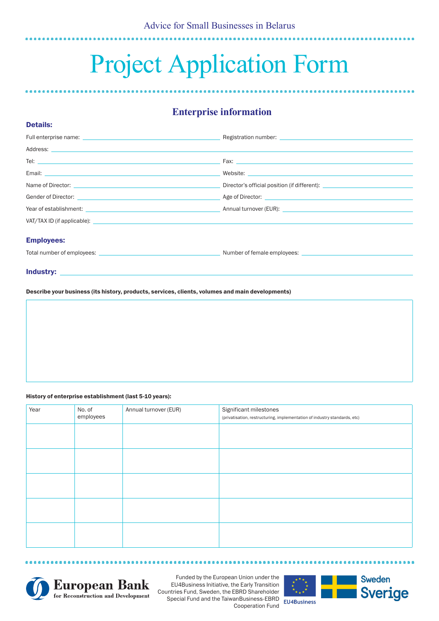# Project Application Form

## **Enterprise information**

|                                                              | Registration number: Later and the contract of the contract of the contract of the contract of the contract of |
|--------------------------------------------------------------|----------------------------------------------------------------------------------------------------------------|
|                                                              |                                                                                                                |
| Tel: $\overline{\phantom{a}}$                                |                                                                                                                |
|                                                              |                                                                                                                |
|                                                              | Director's official position (if different): ___________________________________                               |
| Gender of Director: Age of Director: Age of Director:        |                                                                                                                |
|                                                              |                                                                                                                |
|                                                              |                                                                                                                |
| <b>Employees:</b>                                            |                                                                                                                |
| Total number of employees: Total number of female employees: |                                                                                                                |
|                                                              |                                                                                                                |

Industry:

Details:

Describe your business (its history, products, services, clients, volumes and main developments)

#### History of enterprise establishment (last 5-10 years):

| Year | No. of<br>employees | Annual turnover (EUR) | Significant milestones<br>(privatisation, restructuring, implementation of industry standards, etc) |  |
|------|---------------------|-----------------------|-----------------------------------------------------------------------------------------------------|--|
|      |                     |                       |                                                                                                     |  |
|      |                     |                       |                                                                                                     |  |
|      |                     |                       |                                                                                                     |  |
|      |                     |                       |                                                                                                     |  |
|      |                     |                       |                                                                                                     |  |





**\*\*\*\*\*\*\*\*** 

Funded by the European Union under the EU4Business Initiative, the Early Transition Countries Fund, Sweden, the EBRD Shareholder Special Fund and the TaiwanBusiness-EBRD Cooperation Fund

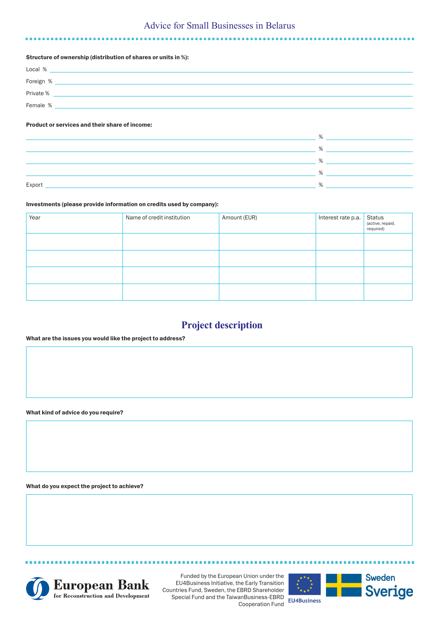## Advice for Small Businesses in Belarus

#### Structure of ownership (distribution of shares or units in %):

| Local %   |  |
|-----------|--|
| Foreign % |  |
| Private % |  |
| Female %  |  |

#### Product or services and their share of income:

|        | $\sqrt{2}$        |
|--------|-------------------|
|        | 0/2               |
|        | 0/2               |
|        | $O_{\mathcal{L}}$ |
|        | 0/2               |
| Export |                   |

#### Investments (please provide information on credits used by company):

| Year | Name of credit institution | Amount (EUR) | Interest rate p.a. | Status<br>(active, repaid,<br>required) |
|------|----------------------------|--------------|--------------------|-----------------------------------------|
|      |                            |              |                    |                                         |
|      |                            |              |                    |                                         |
|      |                            |              |                    |                                         |
|      |                            |              |                    |                                         |

## **Project description**

#### What are the issues you would like the project to address?

What kind of advice do you require?

What do you expect the project to achieve?



....................

Funded by the European Union under the EU4Business Initiative, the Early Transition Countries Fund, Sweden, the EBRD Shareholder Special Fund and the TaiwanBusiness-EBRD Cooperation Fund